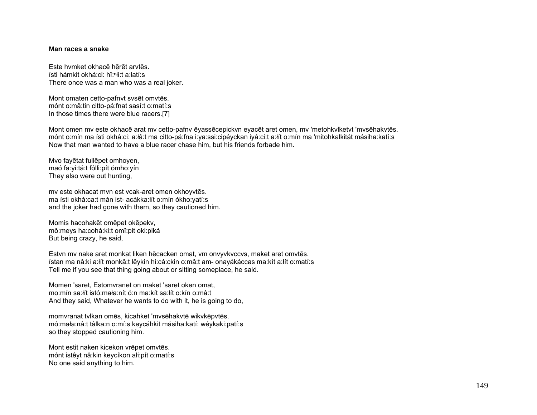## **Man races a snake**

Este hvmket okhacē hērēt arvtēs. ísti hámkit okhá:ci: hĭ:ʰłiːt a:łatí:s There once was a man who was a real joker.

Mont omaten cetto-pafnvt svsēt omvtēs. mónt o:mâ:tin citto-pá:fnat sasí:t o:matí:s In those times there were blue racers.[7]

Mont omen mv este okhacē arat mv cetto-pafnv ēyassēcepickvn eyacēt aret omen, mv 'metohkvlketvt 'mvsēhakvtēs. mónt o:mín ma ísti okhá:ci: a:łâ:t ma citto-pá:fna i:ya:ssi:cipéyckan iyá:ci:t a:łít o:mín ma 'mitohkalkitát másiha:katí:s Now that man wanted to have a blue racer chase him, but his friends forbade him.

Mvo fayētat fullēpet omhoyen, maó fa:yi:tá:t fólli:pít ómho:yín They also were out hunting,

mv este okhacat mvn est vcak-aret omen okhoyvtēs. ma ísti okhá:ca:t mán ist- acákka:łít o:mín ókho:yatí:s and the joker had gone with them, so they cautioned him.

Momis hacohakēt omēpet okēpekv, mô:meys ha:cohá:ki:t omî:pit oki:piká But being crazy, he said,

Estvn mv nake aret monkat liken hēcacken omat, vm onvyvkvccvs, maket aret omvtēs. ístan ma nâ:ki a:łít monkâ:t lêykin hi:cá:ckin o:mâ:t am- onayákáccas ma:kít a:łít o:matí:s Tell me if you see that thing going about or sitting someplace, he said.

Momen 'saret, Estomvranet on maket 'saret oken omat, mo:mín sa:łít istó:mała:nít ó:n ma:kít sa:łít o:kín o:mâ:t And they said, Whatever he wants to do with it, he is going to do,

momvranat tvlkan omēs, kicahket 'mvsēhakvtē wikvkēpvtēs. mó:mała:nâ:t tâlka:n o:mí:s keycáhkit másiha:katí: wéykaki:patí:s so they stopped cautioning him.

Mont estit naken kicekon vrēpet omvtēs. mónt istêyt nâ:kin keycíkon ałi:pít o:matí:s No one said anything to him.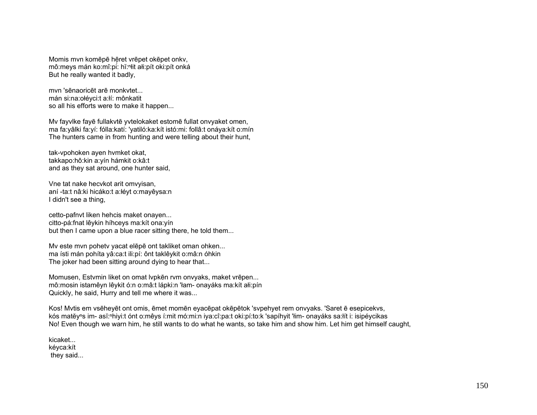Momis myn komēpē hēret vrēpet okēpet onky. mô:meys mán ko:mî:pi: hĭ:ʰłit ałi:pít oki:pít onká But he really wanted it badly,

mvn 'sēnaoricēt arē monkvtet... mán si:na:ołéyci:t a:łí: mônkatit so all his efforts were to make it happen...

Mv fayvlke fayē fullakvtē yvtelokaket estomē fullat onvyaket omen, ma fa:yâlki fa:yí: fólla:katí: 'yatiló:ka:kít istó:mi: follâ:t onáya:kít o:mín The hunters came in from hunting and were telling about their hunt,

tak-vpohoken ayen hvmket okat, takkapo:hô:kin a:yín hámkit o:kâ:t and as they sat around, one hunter said,

Vne tat nake hecvkot arit omvyisan, aní -ta:t nâ:ki hicáko:t a:łéyt o:mayêysa:n I didn't see a thing,

cetto-pafnvt liken hehcis maket onayen... citto-pá:fnat lêykin híhceys ma:kít ona:yín but then I came upon a blue racer sitting there, he told them...

Mv este mvn pohetv yacat elēpē ont takliket oman ohken... ma ísti mán pohíta yâ:ca:t ili:pí: ônt taklêykit o:mâ:n óhkin The joker had been sitting around dying to hear that...

Momusen, Estvmin liket on omat lvpkēn rvm onvyaks, maket vrēpen... mô:mosin istamêyn lêykit ó:n o:mâ:t lápki:n 'łam- onayáks ma:kít ałi:pín Quickly, he said, Hurry and tell me where it was...

Kos! Mvtis em vsēheyēt ont omis, ēmet momēn eyacēpat okēpētok 'svpehyet rem onvyaks. 'Saret ē esepicekvs, kós matĕy<sup>ⁿ</sup>s im- asĭ:<sup>ⁿ</sup>hiyi:t ónt o:mêys í:mit mó:mi:n iya:cî:pa:t oki:pí:to:k 'sapíhyit 'łim- onayáks sa:łít i: isipéycikas No! Even though we warn him, he still wants to do what he wants, so take him and show him. Let him get himself caught,

kicaket... kéyca:kít they said...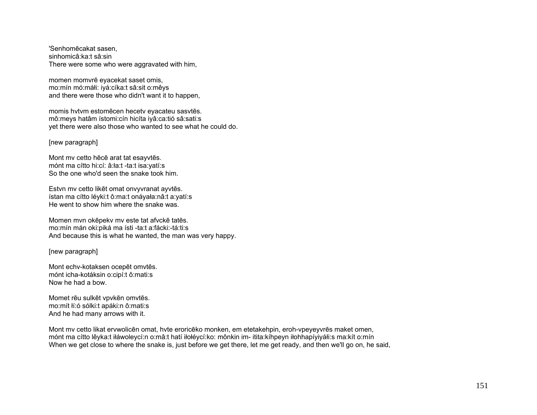'Senhomēcakat sasen, sinhomicâ:ka:t sâ:sin There were some who were aggravated with him,

momen momvrē eyacekat saset omis, mo:mín mó:máłi: iyá:cíka:t sâ:sit o:mêys and there were those who didn't want it to happen,

momis hvtvm estomēcen hecetv eyacateu sasvtēs. mô:meys hatâm ístomi:cín hicíta iyâ:ca:tió sâ:sati:s yet there were also those who wanted to see what he could do.

[new paragraph]

Mont mv cetto hēcē arat tat esayvtēs. mónt ma cítto hi:cí: â:ła:t -ta:t isa:yatí:s So the one who'd seen the snake took him.

Estvn mv cetto likēt omat onvyvranat ayvtēs. ístan ma cítto léyki:t ô:ma:t onáyała:nâ:t a:yatí:s He went to show him where the snake was.

Momen mvn okēpekv mv este tat afvckē tatēs. mo:mín mán oki:piká ma ísti -ta:t a:fácki:-tá:ti:s And because this is what he wanted, the man was very happy.

[new paragraph]

Mont echv-kotaksen ocepēt omvtēs. mónt icha-kotáksin o:cipí:t ô:mati:s Now he had a bow.

Momet rēu sulkēt vpvkēn omvtēs. mo:mít łí:ó sólki:t apáki:n ô:mati:s And he had many arrows with it.

Mont mv cetto likat ervwolicēn omat, hvte eroricēko monken, em etetakehpin, eroh-vpeyeyvrēs maket omen, mónt ma cítto lêyka:t iłáwoleycí:n o:mâ:t hatí iłołéycí:ko: mônkin im- itita:kíhpeyn iłohhapíyiyáłi:s ma:kít o:mín When we get close to where the snake is, just before we get there, let me get ready, and then we'll go on, he said,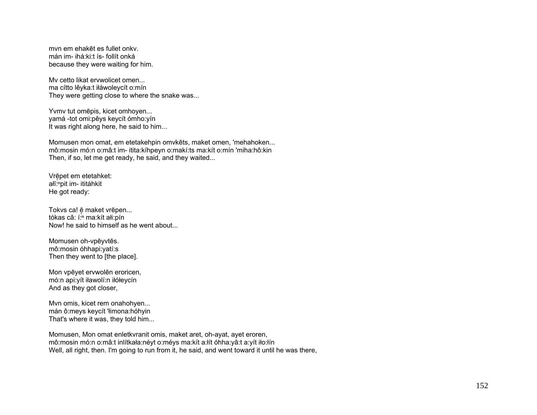mvn em ehakēt es fullet onkv. mán im- ihá:ki:t ís- follít onká because they were waiting for him.

Mv cetto likat ervwolicet omen... ma cítto lêyka:t iłáwoleycít o:mín They were getting close to where the snake was...

Yvmv tut omēpis, kicet omhoyen... yamá -tot omi:pêys keycít ómho:yín It was right along here, he said to him...

Momusen mon omat, em etetakehpin omvkēts, maket omen, 'mehahoken... mô:mosin mó:n o:mâ:t im- itita:kíhpeyn o:makí:ts ma:kít o:mín 'miha:hô:kin Then, if so, let me get ready, he said, and they waited...

Vrē̞pet em etetahket: ałĭ:"pit im- ititáhkit He got ready:

Tokvs ca! ē̞ maket vrēpen... tókas câ: í:<sup>n</sup> ma:kít ałi:pín Now! he said to himself as he went about...

Momusen oh-vpēyvtēs. mô:mosin óhhapi:yatí:s Then they went to [the place].

Mon vpēyet ervwolēn eroricen, mó:n api:yít iławolí:n iłółeycín And as they got closer,

Mvn omis, kicet rem onahohyen... mán ô:meys keycít 'łimona:hóhyin That's where it was, they told him...

Momusen, Mon omat enletkvranit omis, maket aret, oh-ayat, ayet eroren, mô:mosin mó:n o:mâ:t inlítkała:néyt o:méys ma:kít a:łít óhha:yâ:t a:yít iło:łín Well, all right, then. I'm going to run from it, he said, and went toward it until he was there,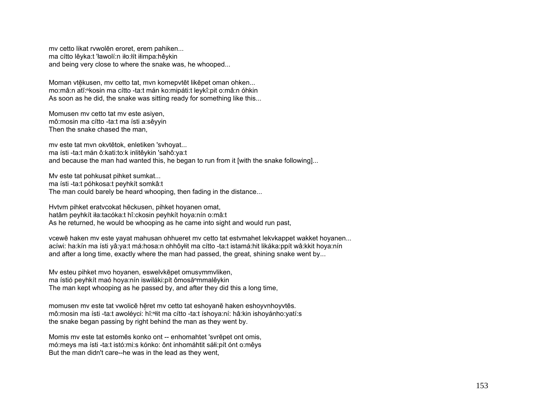mv cetto likat rvwolēn eroret, erem pahiken... ma cítto lêyka:t 'ławolí:n iło:łít iłimpa:hêykin and being very close to where the snake was, he whooped...

Moman vtēkusen, mv cetto tat, mvn komepvtēt likēpet oman ohken... mo:mâ:n atĭ:<sup>ⁿ</sup>kosin ma cítto -ta:t mán ko:mipáti:t leykî:pit o:mâ:n óhkin As soon as he did, the snake was sitting ready for something like this...

Momusen mv cetto tat mv este asiyen, mô:mosin ma cítto -ta:t ma ísti a:sêyyin Then the snake chased the man,

mv este tat mvn okvtētok, enletiken 'svhoyat... ma ísti -ta:t mán ô:kati:to:k inlitêykin 'sahô:ya:t and because the man had wanted this, he began to run from it [with the snake following]...

Mv este tat pohkusat pihket sumkat... ma ísti -ta:t póhkosa:t peyhkít somkâ:t The man could barely be heard whooping, then fading in the distance...

Hvtvm pihket eratvcokat hēckusen, pihket hoyanen omat, hatâm peyhkít iła:tacóka:t hî:ckosin peyhkít hoya:nín o:mâ:t As he returned, he would be whooping as he came into sight and would run past,

vcewē haken mv este yayat mahusan ohhueret mv cetto tat estvmahet lekvkappet wakket hoyanen... acíwi: ha:kín ma ísti yâ:ya:t má:hosa:n ohhôyłit ma cítto -ta:t istamá:hit likáka:ppít wâ:kkit hoya:nín and after a long time, exactly where the man had passed, the great, shining snake went by...

My esteu pihket myo hoyanen, eswelykēpet omusymmyliken, ma ístió peyhkít maó hoya:nín iswiláki:pít ômosă<sup>n</sup>mmalêykin The man kept whooping as he passed by, and after they did this a long time,

momusen mv este tat vwolicē hēret mv cetto tat eshoyanē haken eshoyvnhoyvtēs. mô:mosin ma ísti -ta:t awoléyci: hǐ: Nit ma cítto -ta:t íshoya:ní: hâ:kin ishoyánho: yatí:s the snake began passing by right behind the man as they went by.

Momis mv este tat estomēs konko ont -- enhomahtet 'svrēpet ont omis, mó:meys ma ísti -ta:t istó:mi:s kónko: ônt inhomáhtit sáłi:pít ónt o:mêys But the man didn't care--he was in the lead as they went,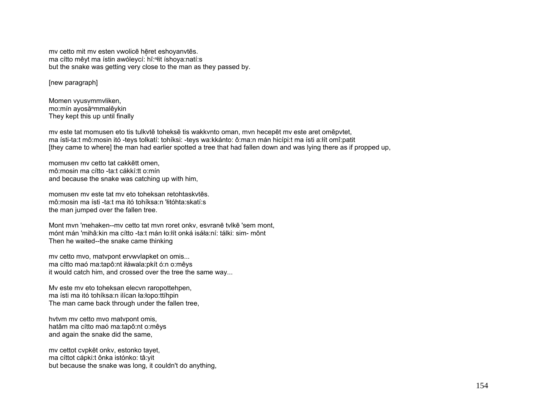mv cetto mit mv esten vwolicē hēret eshoyanvtēs. ma cítto mêyt ma ístin awóleycí: hĭ:ⁿłit íshoya:natí:s but the snake was getting very close to the man as they passed by.

[new paragraph]

Momen vyusymmvliken, mo:mín ayosăⁿmmalêykin They kept this up until finally

mv este tat momusen eto tis tulkvtē toheksē tis wakkvnto oman, mvn hecepēt mv este aret omēpvtet, ma ísti-ta:t mô:mosin itó -teys tolkatí: tohíksi: -teys wa:kkánto: ô:ma:n mán hicípi:t ma ísti a:łít omî:patit [they came to where] the man had earlier spotted a tree that had fallen down and was lying there as if propped up,

momusen mv cetto tat cakkētt omen, mô:mosin ma cítto -ta:t cákkí:tt o:mín and because the snake was catching up with him,

momusen mv este tat mv eto toheksan retohtaskvtēs. mô:mosin ma ísti -ta:t ma itó tohíksa:n 'łitóhta:skatí:s the man jumped over the fallen tree.

Mont mvn 'mehaken--mv cetto tat mvn roret onkv, esvranē tvlkē 'sem mont, mónt mán 'mihâ:kin ma cítto -ta:t mán ło:łít onká isáła:ní: tálki: sim- mônt Then he waited--the snake came thinking

mv cetto mvo, matvpont ervwvlapket on omis... ma cítto maó ma:tapô:nt iłáwala:pkít ó:n o:mêys it would catch him, and crossed over the tree the same way...

Mv este mv eto toheksan elecvn raropottehpen, ma ísti ma itó tohíksa:n ilícan ła:łopo:ttíhpin The man came back through under the fallen tree,

hvtvm mv cetto mvo matvpont omis, hatâm ma cítto maó ma:tapô:nt o:mêys and again the snake did the same,

mv cettot cvpkēt onkv, estonko tayet, ma cíttot cápki:t ônka istónko: tâ:yit but because the snake was long, it couldn't do anything,